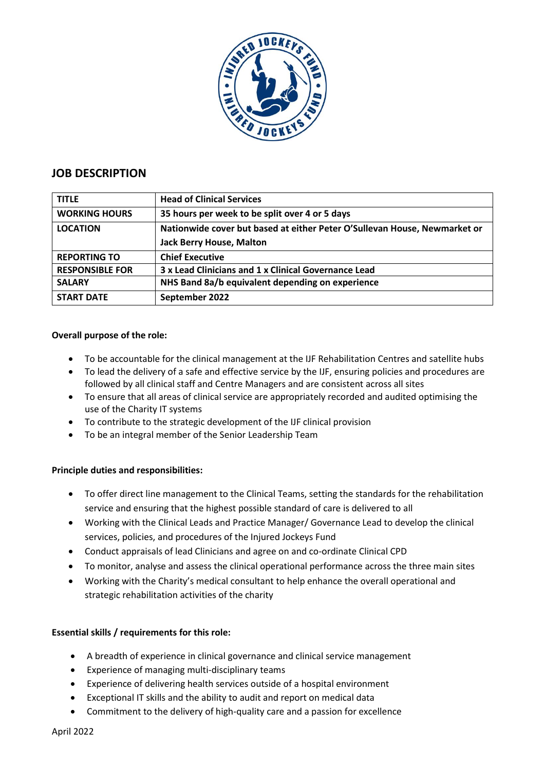

# **JOB DESCRIPTION**

| <b>TITLE</b>           | <b>Head of Clinical Services</b>                                          |
|------------------------|---------------------------------------------------------------------------|
| <b>WORKING HOURS</b>   | 35 hours per week to be split over 4 or 5 days                            |
| <b>LOCATION</b>        | Nationwide cover but based at either Peter O'Sullevan House, Newmarket or |
|                        | <b>Jack Berry House, Malton</b>                                           |
| <b>REPORTING TO</b>    | <b>Chief Executive</b>                                                    |
| <b>RESPONSIBLE FOR</b> | 3 x Lead Clinicians and 1 x Clinical Governance Lead                      |
| <b>SALARY</b>          | NHS Band 8a/b equivalent depending on experience                          |
| <b>START DATE</b>      | September 2022                                                            |

### **Overall purpose of the role:**

- To be accountable for the clinical management at the IJF Rehabilitation Centres and satellite hubs
- To lead the delivery of a safe and effective service by the IJF, ensuring policies and procedures are followed by all clinical staff and Centre Managers and are consistent across all sites
- To ensure that all areas of clinical service are appropriately recorded and audited optimising the use of the Charity IT systems
- To contribute to the strategic development of the IJF clinical provision
- To be an integral member of the Senior Leadership Team

### **Principle duties and responsibilities:**

- To offer direct line management to the Clinical Teams, setting the standards for the rehabilitation service and ensuring that the highest possible standard of care is delivered to all
- Working with the Clinical Leads and Practice Manager/ Governance Lead to develop the clinical services, policies, and procedures of the Injured Jockeys Fund
- Conduct appraisals of lead Clinicians and agree on and co-ordinate Clinical CPD
- To monitor, analyse and assess the clinical operational performance across the three main sites
- Working with the Charity's medical consultant to help enhance the overall operational and strategic rehabilitation activities of the charity

### **Essential skills / requirements for this role:**

- A breadth of experience in clinical governance and clinical service management
- Experience of managing multi-disciplinary teams
- Experience of delivering health services outside of a hospital environment
- Exceptional IT skills and the ability to audit and report on medical data
- Commitment to the delivery of high-quality care and a passion for excellence